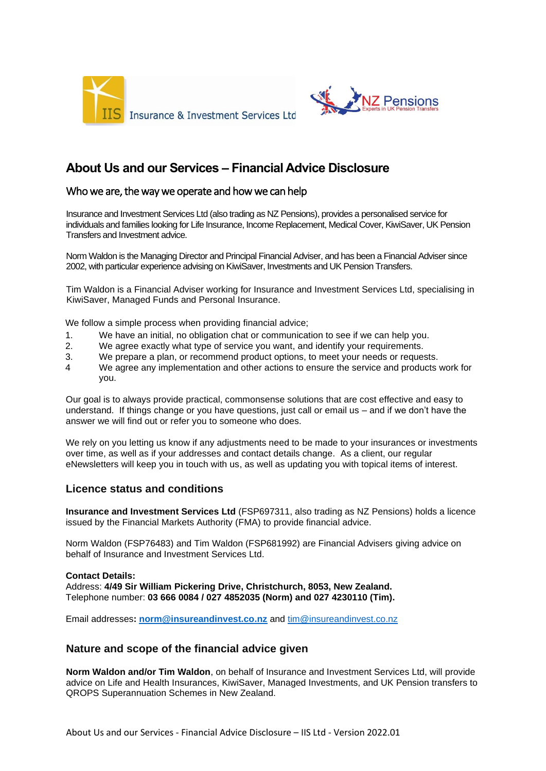



# **About Us and our Services – Financial Advice Disclosure**

# Who we are, the way we operate and how we can help

Insurance and Investment Services Ltd (also trading as NZ Pensions), provides a personalised service for individuals and families looking for Life Insurance, Income Replacement, Medical Cover, KiwiSaver, UK Pension Transfers and Investment advice.

Norm Waldon is the Managing Director and Principal Financial Adviser, and has been a Financial Adviser since 2002, with particular experience advising on KiwiSaver, Investments and UK Pension Transfers.

Tim Waldon is a Financial Adviser working for Insurance and Investment Services Ltd, specialising in KiwiSaver, Managed Funds and Personal Insurance.

We follow a simple process when providing financial advice;

- 1. We have an initial, no obligation chat or communication to see if we can help you.
- 2. We agree exactly what type of service you want, and identify your requirements.
- 3. We prepare a plan, or recommend product options, to meet your needs or requests.
- 4 We agree any implementation and other actions to ensure the service and products work for you.

Our goal is to always provide practical, commonsense solutions that are cost effective and easy to understand. If things change or you have questions, just call or email us – and if we don't have the answer we will find out or refer you to someone who does.

We rely on you letting us know if any adjustments need to be made to your insurances or investments over time, as well as if your addresses and contact details change. As a client, our regular eNewsletters will keep you in touch with us, as well as updating you with topical items of interest.

## **Licence status and conditions**

**Insurance and Investment Services Ltd** (FSP697311, also trading as NZ Pensions) holds a licence issued by the Financial Markets Authority (FMA) to provide financial advice.

Norm Waldon (FSP76483) and Tim Waldon (FSP681992) are Financial Advisers giving advice on behalf of Insurance and Investment Services Ltd.

#### **Contact Details:**

Address: **4/49 Sir William Pickering Drive, Christchurch, 8053, New Zealand.** Telephone number: **03 666 0084 / 027 4852035 (Norm) and 027 4230110 (Tim).**

Email addresses**: [norm@insureandinvest.co.nz](mailto:norm@insureandinvest.co.nz)** and [tim@insureandinvest.co.nz](mailto:tim@insureandinvest.co.nz)

## **Nature and scope of the financial advice given**

**Norm Waldon and/or Tim Waldon**, on behalf of Insurance and Investment Services Ltd, will provide advice on Life and Health Insurances, KiwiSaver, Managed Investments, and UK Pension transfers to QROPS Superannuation Schemes in New Zealand.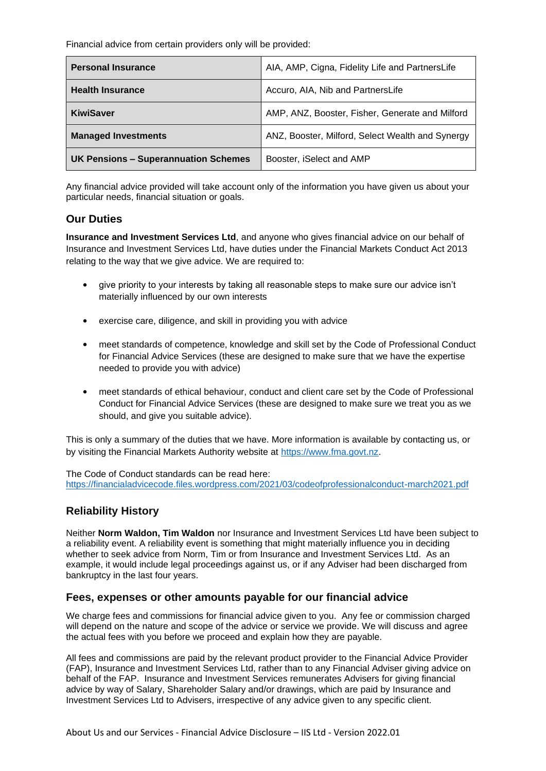Financial advice from certain providers only will be provided:

| <b>Personal Insurance</b>                   | AIA, AMP, Cigna, Fidelity Life and PartnersLife  |
|---------------------------------------------|--------------------------------------------------|
| <b>Health Insurance</b>                     | Accuro, AIA, Nib and PartnersLife                |
| <b>KiwiSaver</b>                            | AMP, ANZ, Booster, Fisher, Generate and Milford  |
| <b>Managed Investments</b>                  | ANZ, Booster, Milford, Select Wealth and Synergy |
| <b>UK Pensions - Superannuation Schemes</b> | Booster, iSelect and AMP                         |

Any financial advice provided will take account only of the information you have given us about your particular needs, financial situation or goals.

## **Our Duties**

**Insurance and Investment Services Ltd**, and anyone who gives financial advice on our behalf of Insurance and Investment Services Ltd, have duties under the Financial Markets Conduct Act 2013 relating to the way that we give advice. We are required to:

- give priority to your interests by taking all reasonable steps to make sure our advice isn't materially influenced by our own interests
- exercise care, diligence, and skill in providing you with advice
- meet standards of competence, knowledge and skill set by the Code of Professional Conduct for Financial Advice Services (these are designed to make sure that we have the expertise needed to provide you with advice)
- meet standards of ethical behaviour, conduct and client care set by the Code of Professional Conduct for Financial Advice Services (these are designed to make sure we treat you as we should, and give you suitable advice).

This is only a summary of the duties that we have. More information is available by contacting us, or by visiting the Financial Markets Authority website at [https://www.fma.govt.nz.](https://www.fma.govt.nz/)

The Code of Conduct standards can be read here: <https://financialadvicecode.files.wordpress.com/2021/03/codeofprofessionalconduct-march2021.pdf>

# **Reliability History**

Neither **Norm Waldon, Tim Waldon** nor Insurance and Investment Services Ltd have been subject to a reliability event. A reliability event is something that might materially influence you in deciding whether to seek advice from Norm, Tim or from Insurance and Investment Services Ltd. As an example, it would include legal proceedings against us, or if any Adviser had been discharged from bankruptcy in the last four years.

## **Fees, expenses or other amounts payable for our financial advice**

We charge fees and commissions for financial advice given to you. Any fee or commission charged will depend on the nature and scope of the advice or service we provide. We will discuss and agree the actual fees with you before we proceed and explain how they are payable.

All fees and commissions are paid by the relevant product provider to the Financial Advice Provider (FAP), Insurance and Investment Services Ltd, rather than to any Financial Adviser giving advice on behalf of the FAP. Insurance and Investment Services remunerates Advisers for giving financial advice by way of Salary, Shareholder Salary and/or drawings, which are paid by Insurance and Investment Services Ltd to Advisers, irrespective of any advice given to any specific client.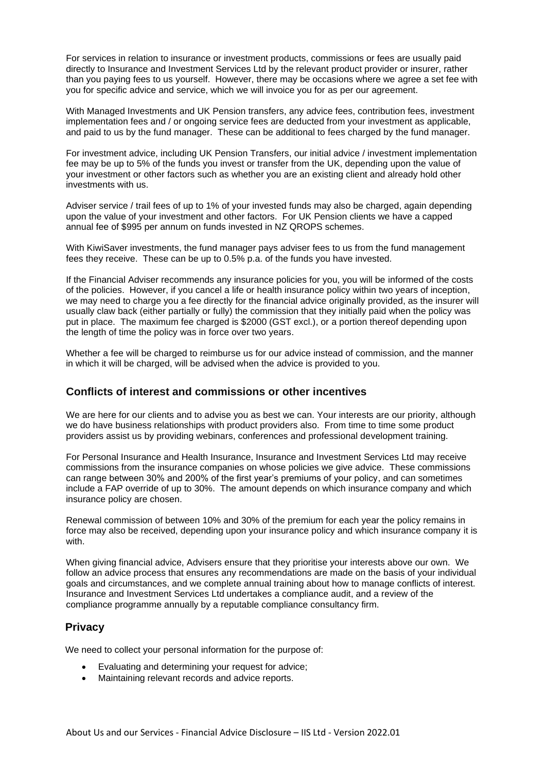For services in relation to insurance or investment products, commissions or fees are usually paid directly to Insurance and Investment Services Ltd by the relevant product provider or insurer, rather than you paying fees to us yourself. However, there may be occasions where we agree a set fee with you for specific advice and service, which we will invoice you for as per our agreement.

With Managed Investments and UK Pension transfers, any advice fees, contribution fees, investment implementation fees and / or ongoing service fees are deducted from your investment as applicable, and paid to us by the fund manager. These can be additional to fees charged by the fund manager.

For investment advice, including UK Pension Transfers, our initial advice / investment implementation fee may be up to 5% of the funds you invest or transfer from the UK, depending upon the value of your investment or other factors such as whether you are an existing client and already hold other investments with us.

Adviser service / trail fees of up to 1% of your invested funds may also be charged, again depending upon the value of your investment and other factors. For UK Pension clients we have a capped annual fee of \$995 per annum on funds invested in NZ QROPS schemes.

With KiwiSaver investments, the fund manager pays adviser fees to us from the fund management fees they receive. These can be up to 0.5% p.a. of the funds you have invested.

If the Financial Adviser recommends any insurance policies for you, you will be informed of the costs of the policies. However, if you cancel a life or health insurance policy within two years of inception, we may need to charge you a fee directly for the financial advice originally provided, as the insurer will usually claw back (either partially or fully) the commission that they initially paid when the policy was put in place. The maximum fee charged is \$2000 (GST excl.), or a portion thereof depending upon the length of time the policy was in force over two years.

Whether a fee will be charged to reimburse us for our advice instead of commission, and the manner in which it will be charged, will be advised when the advice is provided to you.

## **Conflicts of interest and commissions or other incentives**

We are here for our clients and to advise you as best we can. Your interests are our priority, although we do have business relationships with product providers also. From time to time some product providers assist us by providing webinars, conferences and professional development training.

For Personal Insurance and Health Insurance, Insurance and Investment Services Ltd may receive commissions from the insurance companies on whose policies we give advice. These commissions can range between 30% and 200% of the first year's premiums of your policy, and can sometimes include a FAP override of up to 30%. The amount depends on which insurance company and which insurance policy are chosen.

Renewal commission of between 10% and 30% of the premium for each year the policy remains in force may also be received, depending upon your insurance policy and which insurance company it is with.

When giving financial advice, Advisers ensure that they prioritise your interests above our own. We follow an advice process that ensures any recommendations are made on the basis of your individual goals and circumstances, and we complete annual training about how to manage conflicts of interest. Insurance and Investment Services Ltd undertakes a compliance audit, and a review of the compliance programme annually by a reputable compliance consultancy firm.

## **Privacy**

We need to collect your personal information for the purpose of:

- Evaluating and determining your request for advice;
- Maintaining relevant records and advice reports.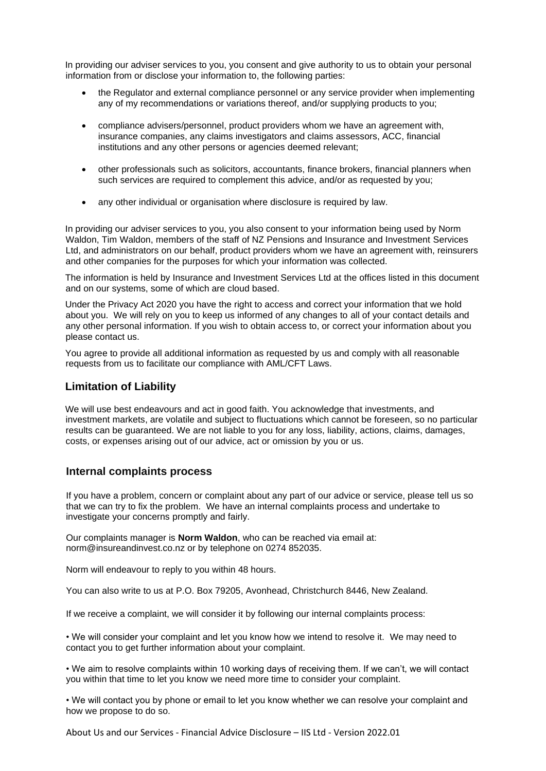In providing our adviser services to you, you consent and give authority to us to obtain your personal information from or disclose your information to, the following parties:

- the Regulator and external compliance personnel or any service provider when implementing any of my recommendations or variations thereof, and/or supplying products to you;
- compliance advisers/personnel, product providers whom we have an agreement with, insurance companies, any claims investigators and claims assessors, ACC, financial institutions and any other persons or agencies deemed relevant;
- other professionals such as solicitors, accountants, finance brokers, financial planners when such services are required to complement this advice, and/or as requested by you;
- any other individual or organisation where disclosure is required by law.

In providing our adviser services to you, you also consent to your information being used by Norm Waldon, Tim Waldon, members of the staff of NZ Pensions and Insurance and Investment Services Ltd, and administrators on our behalf, product providers whom we have an agreement with, reinsurers and other companies for the purposes for which your information was collected.

The information is held by Insurance and Investment Services Ltd at the offices listed in this document and on our systems, some of which are cloud based.

Under the Privacy Act 2020 you have the right to access and correct your information that we hold about you. We will rely on you to keep us informed of any changes to all of your contact details and any other personal information. If you wish to obtain access to, or correct your information about you please contact us.

You agree to provide all additional information as requested by us and comply with all reasonable requests from us to facilitate our compliance with AML/CFT Laws.

#### **Limitation of Liability**

We will use best endeavours and act in good faith. You acknowledge that investments, and investment markets, are volatile and subject to fluctuations which cannot be foreseen, so no particular results can be guaranteed. We are not liable to you for any loss, liability, actions, claims, damages, costs, or expenses arising out of our advice, act or omission by you or us.

#### **Internal complaints process**

If you have a problem, concern or complaint about any part of our advice or service, please tell us so that we can try to fix the problem. We have an internal complaints process and undertake to investigate your concerns promptly and fairly.

Our complaints manager is **Norm Waldon**, who can be reached via email at: norm@insureandinvest.co.nz or by telephone on 0274 852035.

Norm will endeavour to reply to you within 48 hours.

You can also write to us at P.O. Box 79205, Avonhead, Christchurch 8446, New Zealand.

If we receive a complaint, we will consider it by following our internal complaints process:

• We will consider your complaint and let you know how we intend to resolve it. We may need to contact you to get further information about your complaint.

• We aim to resolve complaints within 10 working days of receiving them. If we can't, we will contact you within that time to let you know we need more time to consider your complaint.

• We will contact you by phone or email to let you know whether we can resolve your complaint and how we propose to do so.

About Us and our Services - Financial Advice Disclosure – IIS Ltd - Version 2022.01